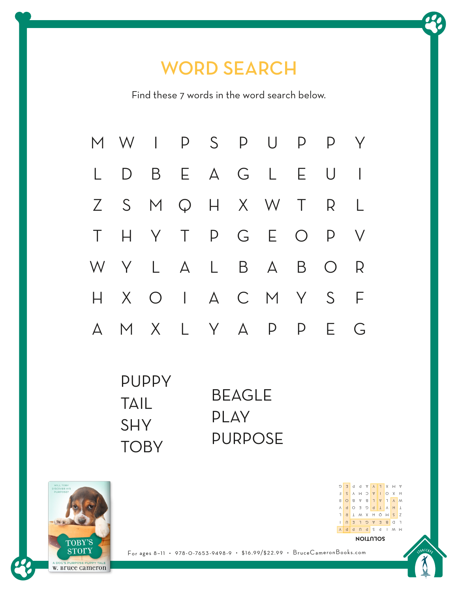# WORD SEARCH

Find these 7 words in the word search below.



| <b>PUPPY</b> |               |
|--------------|---------------|
| TAIL         | <b>BEAGLE</b> |
| <b>SHY</b>   | <b>PLAY</b>   |
|              | PURPOSE       |
| <b>TOBY</b>  |               |





For ages 8–11 • 978-0-7653-9498-9 • \$16.99/\$22.99 • BruceCameronBooks.com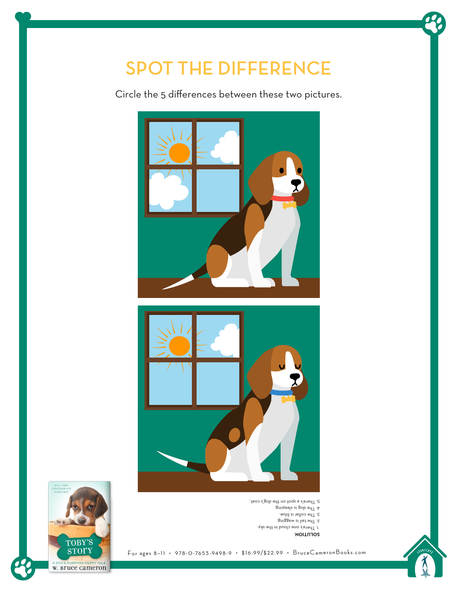# SPOT THE DIFFERENCE

Circle the 5 differences between these two pictures.



- 5. There's a spot on the dog's coat.
	- $\mathfrak{g}$ niqəəlz si gob əd $\mathsf{T}$  . A
	- 3. The collar is blue.
	- 2. The tail is wagging.
	- 1. There's one cloud in the sky.

#### : **SOLUTION**





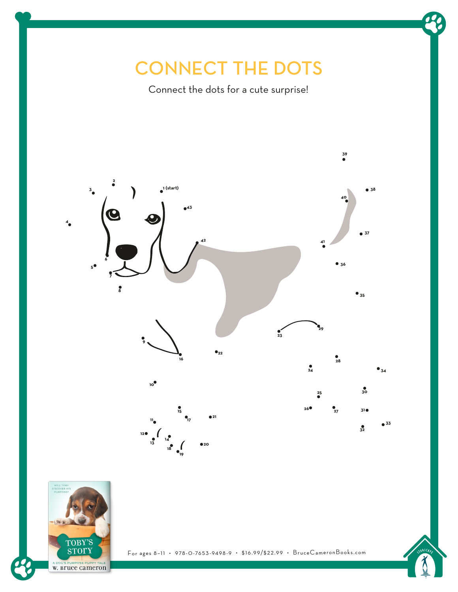### CONNECT THE DOTS

Connect the dots for a cute surprise!